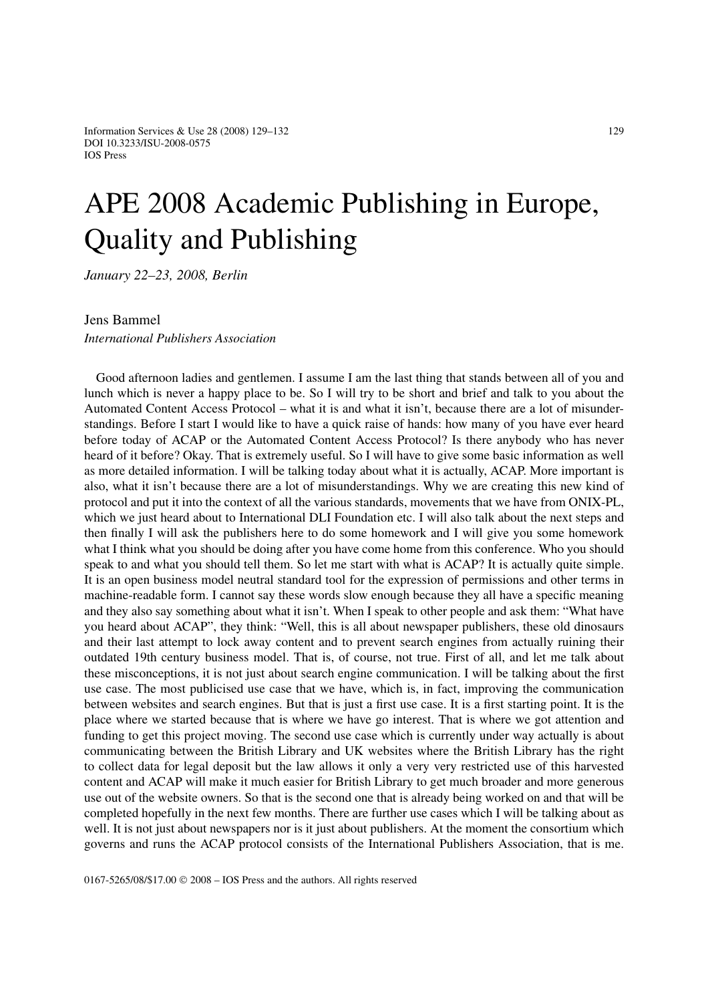## APE 2008 Academic Publishing in Europe, Quality and Publishing

*January 22–23, 2008, Berlin*

## Jens Bammel

*International Publishers Association*

Good afternoon ladies and gentlemen. I assume I am the last thing that stands between all of you and lunch which is never a happy place to be. So I will try to be short and brief and talk to you about the Automated Content Access Protocol – what it is and what it isn't, because there are a lot of misunderstandings. Before I start I would like to have a quick raise of hands: how many of you have ever heard before today of ACAP or the Automated Content Access Protocol? Is there anybody who has never heard of it before? Okay. That is extremely useful. So I will have to give some basic information as well as more detailed information. I will be talking today about what it is actually, ACAP. More important is also, what it isn't because there are a lot of misunderstandings. Why we are creating this new kind of protocol and put it into the context of all the various standards, movements that we have from ONIX-PL, which we just heard about to International DLI Foundation etc. I will also talk about the next steps and then finally I will ask the publishers here to do some homework and I will give you some homework what I think what you should be doing after you have come home from this conference. Who you should speak to and what you should tell them. So let me start with what is ACAP? It is actually quite simple. It is an open business model neutral standard tool for the expression of permissions and other terms in machine-readable form. I cannot say these words slow enough because they all have a specific meaning and they also say something about what it isn't. When I speak to other people and ask them: "What have you heard about ACAP", they think: "Well, this is all about newspaper publishers, these old dinosaurs and their last attempt to lock away content and to prevent search engines from actually ruining their outdated 19th century business model. That is, of course, not true. First of all, and let me talk about these misconceptions, it is not just about search engine communication. I will be talking about the first use case. The most publicised use case that we have, which is, in fact, improving the communication between websites and search engines. But that is just a first use case. It is a first starting point. It is the place where we started because that is where we have go interest. That is where we got attention and funding to get this project moving. The second use case which is currently under way actually is about communicating between the British Library and UK websites where the British Library has the right to collect data for legal deposit but the law allows it only a very very restricted use of this harvested content and ACAP will make it much easier for British Library to get much broader and more generous use out of the website owners. So that is the second one that is already being worked on and that will be completed hopefully in the next few months. There are further use cases which I will be talking about as well. It is not just about newspapers nor is it just about publishers. At the moment the consortium which governs and runs the ACAP protocol consists of the International Publishers Association, that is me.

0167-5265/08/\$17.00 © 2008 – IOS Press and the authors. All rights reserved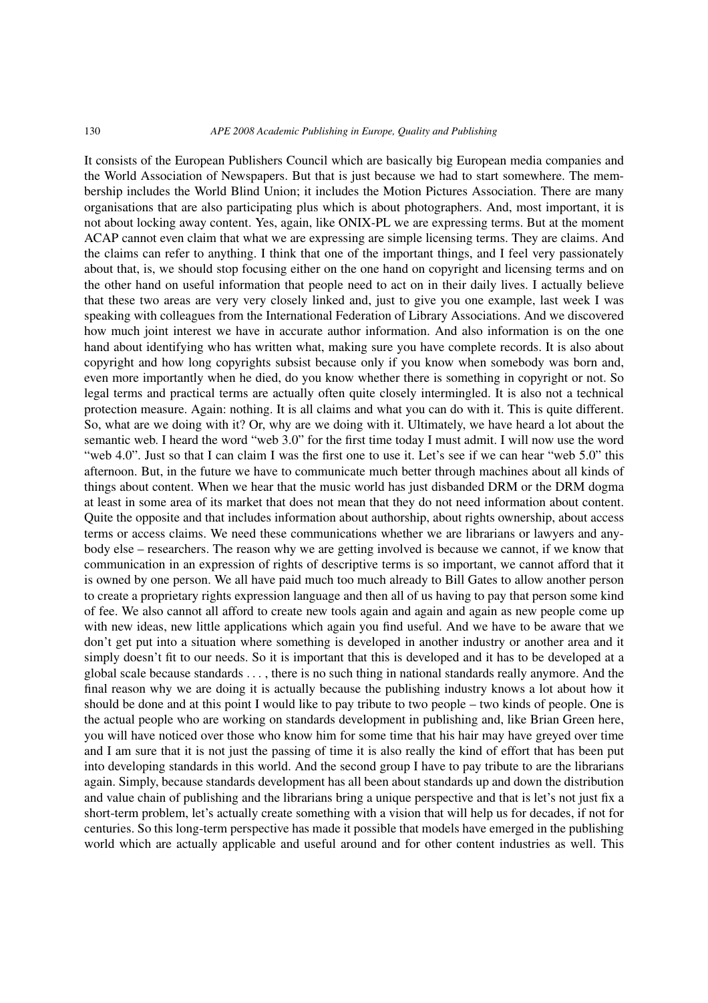## 130 *APE 2008 Academic Publishing in Europe, Quality and Publishing*

It consists of the European Publishers Council which are basically big European media companies and the World Association of Newspapers. But that is just because we had to start somewhere. The membership includes the World Blind Union; it includes the Motion Pictures Association. There are many organisations that are also participating plus which is about photographers. And, most important, it is not about locking away content. Yes, again, like ONIX-PL we are expressing terms. But at the moment ACAP cannot even claim that what we are expressing are simple licensing terms. They are claims. And the claims can refer to anything. I think that one of the important things, and I feel very passionately about that, is, we should stop focusing either on the one hand on copyright and licensing terms and on the other hand on useful information that people need to act on in their daily lives. I actually believe that these two areas are very very closely linked and, just to give you one example, last week I was speaking with colleagues from the International Federation of Library Associations. And we discovered how much joint interest we have in accurate author information. And also information is on the one hand about identifying who has written what, making sure you have complete records. It is also about copyright and how long copyrights subsist because only if you know when somebody was born and, even more importantly when he died, do you know whether there is something in copyright or not. So legal terms and practical terms are actually often quite closely intermingled. It is also not a technical protection measure. Again: nothing. It is all claims and what you can do with it. This is quite different. So, what are we doing with it? Or, why are we doing with it. Ultimately, we have heard a lot about the semantic web. I heard the word "web 3.0" for the first time today I must admit. I will now use the word "web 4.0". Just so that I can claim I was the first one to use it. Let's see if we can hear "web 5.0" this afternoon. But, in the future we have to communicate much better through machines about all kinds of things about content. When we hear that the music world has just disbanded DRM or the DRM dogma at least in some area of its market that does not mean that they do not need information about content. Quite the opposite and that includes information about authorship, about rights ownership, about access terms or access claims. We need these communications whether we are librarians or lawyers and anybody else – researchers. The reason why we are getting involved is because we cannot, if we know that communication in an expression of rights of descriptive terms is so important, we cannot afford that it is owned by one person. We all have paid much too much already to Bill Gates to allow another person to create a proprietary rights expression language and then all of us having to pay that person some kind of fee. We also cannot all afford to create new tools again and again and again as new people come up with new ideas, new little applications which again you find useful. And we have to be aware that we don't get put into a situation where something is developed in another industry or another area and it simply doesn't fit to our needs. So it is important that this is developed and it has to be developed at a global scale because standards ... , there is no such thing in national standards really anymore. And the final reason why we are doing it is actually because the publishing industry knows a lot about how it should be done and at this point I would like to pay tribute to two people – two kinds of people. One is the actual people who are working on standards development in publishing and, like Brian Green here, you will have noticed over those who know him for some time that his hair may have greyed over time and I am sure that it is not just the passing of time it is also really the kind of effort that has been put into developing standards in this world. And the second group I have to pay tribute to are the librarians again. Simply, because standards development has all been about standards up and down the distribution and value chain of publishing and the librarians bring a unique perspective and that is let's not just fix a short-term problem, let's actually create something with a vision that will help us for decades, if not for centuries. So this long-term perspective has made it possible that models have emerged in the publishing world which are actually applicable and useful around and for other content industries as well. This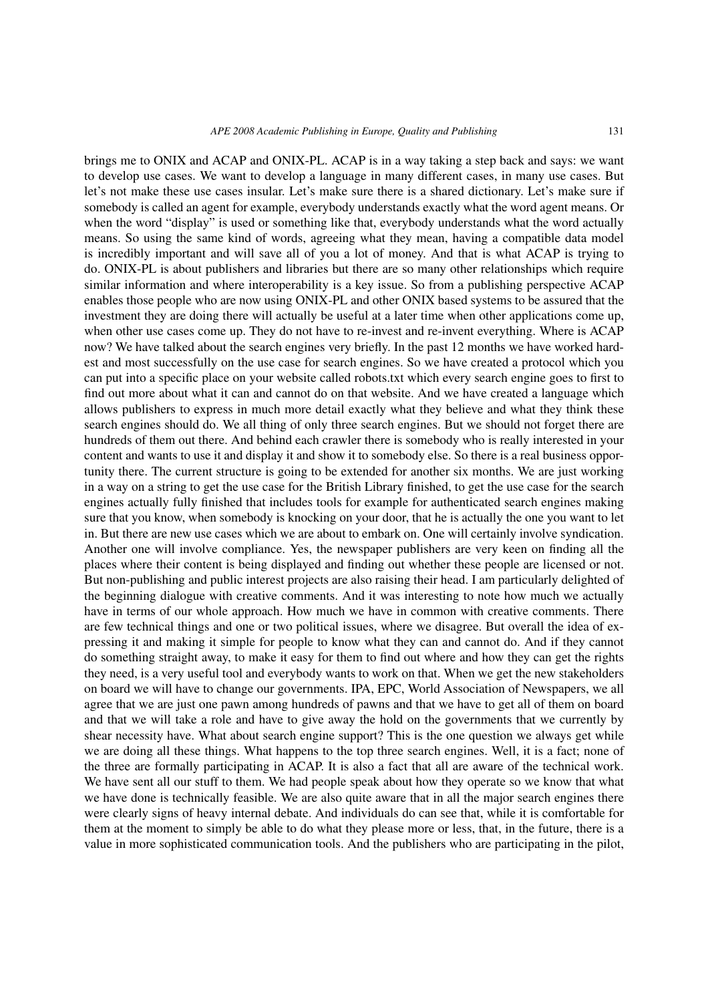brings me to ONIX and ACAP and ONIX-PL. ACAP is in a way taking a step back and says: we want to develop use cases. We want to develop a language in many different cases, in many use cases. But let's not make these use cases insular. Let's make sure there is a shared dictionary. Let's make sure if somebody is called an agent for example, everybody understands exactly what the word agent means. Or when the word "display" is used or something like that, everybody understands what the word actually means. So using the same kind of words, agreeing what they mean, having a compatible data model is incredibly important and will save all of you a lot of money. And that is what ACAP is trying to do. ONIX-PL is about publishers and libraries but there are so many other relationships which require similar information and where interoperability is a key issue. So from a publishing perspective ACAP enables those people who are now using ONIX-PL and other ONIX based systems to be assured that the investment they are doing there will actually be useful at a later time when other applications come up, when other use cases come up. They do not have to re-invest and re-invent everything. Where is ACAP now? We have talked about the search engines very briefly. In the past 12 months we have worked hardest and most successfully on the use case for search engines. So we have created a protocol which you can put into a specific place on your website called robots.txt which every search engine goes to first to find out more about what it can and cannot do on that website. And we have created a language which allows publishers to express in much more detail exactly what they believe and what they think these search engines should do. We all thing of only three search engines. But we should not forget there are hundreds of them out there. And behind each crawler there is somebody who is really interested in your content and wants to use it and display it and show it to somebody else. So there is a real business opportunity there. The current structure is going to be extended for another six months. We are just working in a way on a string to get the use case for the British Library finished, to get the use case for the search engines actually fully finished that includes tools for example for authenticated search engines making sure that you know, when somebody is knocking on your door, that he is actually the one you want to let in. But there are new use cases which we are about to embark on. One will certainly involve syndication. Another one will involve compliance. Yes, the newspaper publishers are very keen on finding all the places where their content is being displayed and finding out whether these people are licensed or not. But non-publishing and public interest projects are also raising their head. I am particularly delighted of the beginning dialogue with creative comments. And it was interesting to note how much we actually have in terms of our whole approach. How much we have in common with creative comments. There are few technical things and one or two political issues, where we disagree. But overall the idea of expressing it and making it simple for people to know what they can and cannot do. And if they cannot do something straight away, to make it easy for them to find out where and how they can get the rights they need, is a very useful tool and everybody wants to work on that. When we get the new stakeholders on board we will have to change our governments. IPA, EPC, World Association of Newspapers, we all agree that we are just one pawn among hundreds of pawns and that we have to get all of them on board and that we will take a role and have to give away the hold on the governments that we currently by shear necessity have. What about search engine support? This is the one question we always get while we are doing all these things. What happens to the top three search engines. Well, it is a fact; none of the three are formally participating in ACAP. It is also a fact that all are aware of the technical work. We have sent all our stuff to them. We had people speak about how they operate so we know that what we have done is technically feasible. We are also quite aware that in all the major search engines there were clearly signs of heavy internal debate. And individuals do can see that, while it is comfortable for them at the moment to simply be able to do what they please more or less, that, in the future, there is a value in more sophisticated communication tools. And the publishers who are participating in the pilot,